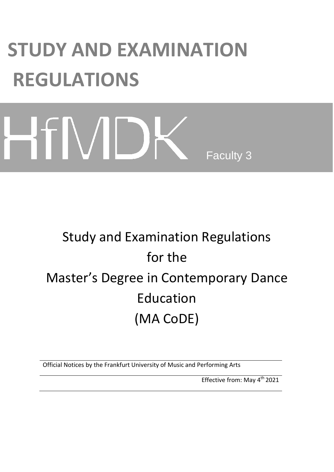# **STUDY AND EXAMINATION REGULATIONS**

# HTMD Faculty 3

# Study and Examination Regulations for the Master's Degree in Contemporary Dance Education (MA CoDE)

Official Notices by the Frankfurt University of Music and Performing Arts

Effective from: May 4<sup>th</sup> 2021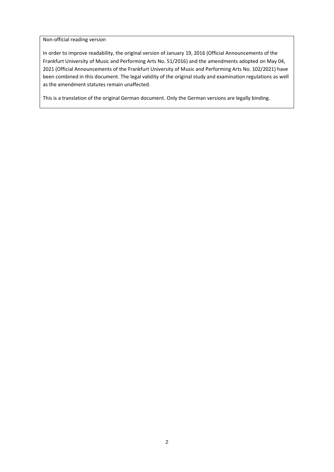Non-official reading version

In order to improve readability, the original version of January 19, 2016 (Official Announcements of the Frankfurt University of Music and Performing Arts No. 51/2016) and the amendments adopted on May 04, 2021 (Official Announcements of the Frankfurt University of Music and Performing Arts No. 102/2021) have been combined in this document. The legal validity of the original study and examination regulations as well as the amendment statutes remain unaffected.

This is a translation of the original German document. Only the German versions are legally binding.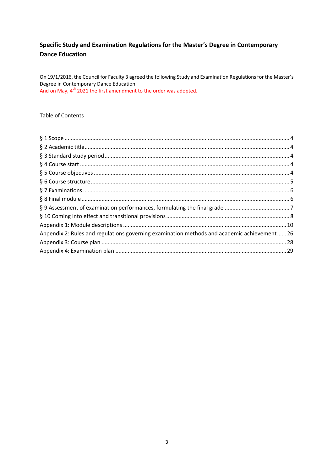# Specific Study and Examination Regulations for the Master's Degree in Contemporary **Dance Education**

On 19/1/2016, the Council for Faculty 3 agreed the following Study and Examination Regulations for the Master's Degree in Contemporary Dance Education. And on May, 4<sup>th</sup> 2021 the first amendment to the order was adopted.

### Table of Contents

| Appendix 2: Rules and regulations governing examination methods and academic achievement 26 |  |
|---------------------------------------------------------------------------------------------|--|
|                                                                                             |  |
|                                                                                             |  |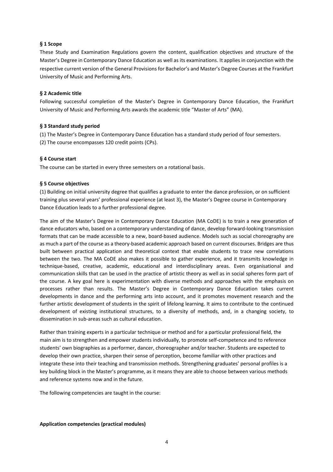#### <span id="page-3-0"></span>**§ 1 Scope**

These Study and Examination Regulations govern the content, qualification objectives and structure of the Master's Degree in Contemporary Dance Education as well as its examinations. It applies in conjunction with the respective current version of the General Provisions for Bachelor's and Master's Degree Courses at the Frankfurt University of Music and Performing Arts.

#### <span id="page-3-1"></span>**§ 2 Academic title**

Following successful completion of the Master's Degree in Contemporary Dance Education, the Frankfurt University of Music and Performing Arts awards the academic title "Master of Arts" (MA).

#### <span id="page-3-2"></span>**§ 3 Standard study period**

(1) The Master's Degree in Contemporary Dance Education has a standard study period of four semesters. (2) The course encompasses 120 credit points (CPs).

#### <span id="page-3-3"></span>**§ 4 Course start**

The course can be started in every three semesters on a rotational basis.

#### <span id="page-3-4"></span>**§ 5 Course objectives**

(1) Building on initial university degree that qualifies a graduate to enter the dance profession, or on sufficient training plus several years' professional experience (at least 3), the Master's Degree course in Contemporary Dance Education leads to a further professional degree.

The aim of the Master's Degree in Contemporary Dance Education (MA CoDE) is to train a new generation of dance educators who, based on a contemporary understanding of dance, develop forward-looking transmission formats that can be made accessible to a new, board-based audience. Models such as social choreography are as much a part of the course as a theory-based academic approach based on current discourses. Bridges are thus built between practical application and theoretical context that enable students to trace new correlations between the two. The MA CoDE also makes it possible to gather experience, and it transmits knowledge in technique-based, creative, academic, educational and interdisciplinary areas. Even organisational and communication skills that can be used in the practice of artistic theory as well as in social spheres form part of the course. A key goal here is experimentation with diverse methods and approaches with the emphasis on processes rather than results. The Master's Degree in Contemporary Dance Education takes current developments in dance and the performing arts into account, and it promotes movement research and the further artistic development of students in the spirit of lifelong learning. It aims to contribute to the continued development of existing institutional structures, to a diversity of methods, and, in a changing society, to dissemination in sub-areas such as cultural education.

Rather than training experts in a particular technique or method and for a particular professional field, the main aim is to strengthen and empower students individually, to promote self-competence and to reference students' own biographies as a performer, dancer, choreographer and/or teacher. Students are expected to develop their own practice, sharpen their sense of perception, become familiar with other practices and integrate these into their teaching and transmission methods. Strengthening graduates' personal profiles is a key building block in the Master's programme, as it means they are able to choose between various methods and reference systems now and in the future.

The following competencies are taught in the course:

**Application competencies (practical modules)**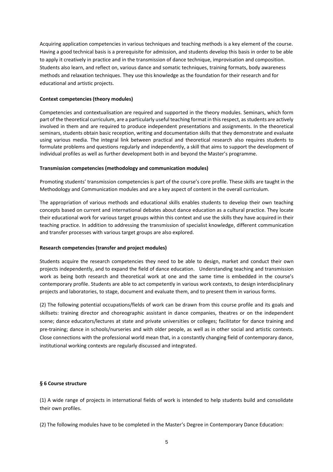Acquiring application competencies in various techniques and teaching methods is a key element of the course. Having a good technical basis is a prerequisite for admission, and students develop this basis in order to be able to apply it creatively in practice and in the transmission of dance technique, improvisation and composition. Students also learn, and reflect on, various dance and somatic techniques, training formats, body awareness methods and relaxation techniques. They use this knowledge as the foundation for their research and for educational and artistic projects.

#### **Context competencies (theory modules)**

Competencies and contextualisation are required and supported in the theory modules. Seminars, which form part of the theoretical curriculum, are a particularly useful teaching format in this respect, as students are actively involved in them and are required to produce independent presentations and assignments. In the theoretical seminars, students obtain basic reception, writing and documentation skills that they demonstrate and evaluate using various media. The integral link between practical and theoretical research also requires students to formulate problems and questions regularly and independently, a skill that aims to support the development of individual profiles as well as further development both in and beyond the Master's programme.

#### **Transmission competencies (methodology and communication modules)**

Promoting students' transmission competencies is part of the course's core profile. These skills are taught in the Methodology and Communication modules and are a key aspect of content in the overall curriculum.

The appropriation of various methods and educational skills enables students to develop their own teaching concepts based on current and international debates about dance education as a cultural practice. They locate their educational work for various target groups within this context and use the skills they have acquired in their teaching practice. In addition to addressing the transmission of specialist knowledge, different communication and transfer processes with various target groups are also explored.

#### **Research competencies (transfer and project modules)**

Students acquire the research competencies they need to be able to design, market and conduct their own projects independently, and to expand the field of dance education. Understanding teaching and transmission work as being both research and theoretical work at one and the same time is embedded in the course's contemporary profile. Students are able to act competently in various work contexts, to design interdisciplinary projects and laboratories, to stage, document and evaluate them, and to present them in various forms.

(2) The following potential occupations/fields of work can be drawn from this course profile and its goals and skillsets: training director and choreographic assistant in dance companies, theatres or on the independent scene; dance educators/lectures at state and private universities or colleges; facilitator for dance training and pre-training; dance in schools/nurseries and with older people, as well as in other social and artistic contexts. Close connections with the professional world mean that, in a constantly changing field of contemporary dance, institutional working contexts are regularly discussed and integrated.

#### <span id="page-4-0"></span>**§ 6 Course structure**

(1) A wide range of projects in international fields of work is intended to help students build and consolidate their own profiles.

(2) The following modules have to be completed in the Master's Degree in Contemporary Dance Education: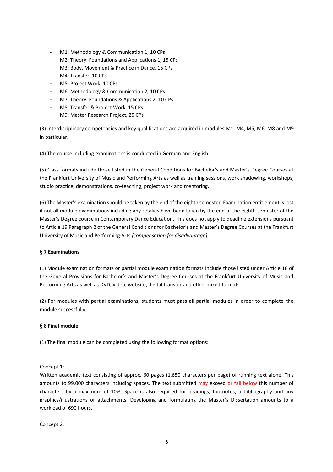- M1: Methodology & Communication 1, 10 CPs
- M2: Theory: Foundations and Applications 1, 15 CPs
- M3: Body, Movement & Practice in Dance, 15 CPs
- M4: Transfer, 10 CPs
- M5: Project Work, 10 CPs
- M6: Methodology & Communication 2, 10 CPs
- M7: Theory: Foundations & Applications 2, 10 CPs
- M8: Transfer & Project Work, 15 CPs
- M9: Master Research Project, 25 CPs

(3) Interdisciplinary competencies and key qualifications are acquired in modules M1, M4, M5, M6, M8 and M9 in particular.

(4) The course including examinations is conducted in German and English.

(5) Class formats include those listed in the General Conditions for Bachelor's and Master's Degree Courses at the Frankfurt University of Music and Performing Arts as well as training sessions, work shadowing, workshops, studio practice, demonstrations, co-teaching, project work and mentoring.

(6) The Master's examination should be taken by the end of the eighth semester. Examination entitlement is lost if not all module examinations including any retakes have been taken by the end of the eighth semester of the Master's Degree course in Contemporary Dance Education. This does not apply to deadline extensions pursuant to Article 19 Paragraph 2 of the General Conditions for Bachelor's and Master's Degree Courses at the Frankfurt University of Music and Performing Arts *[compensation for disadvantage]*.

#### <span id="page-5-0"></span>**§ 7 Examinations**

(1) Module examination formats or partial module examination formats include those listed under Article 18 of the General Provisions for Bachelor's and Master's Degree Courses at the Frankfurt University of Music and Performing Arts as well as DVD, video, website, digital transfer and other mixed formats.

(2) For modules with partial examinations, students must pass all partial modules in order to complete the module successfully*.* 

#### <span id="page-5-1"></span>**§ 8 Final module**

(1) The final module can be completed using the following format options:

Concept 1:

Written academic text consisting of approx. 60 pages (1,650 characters per page) of running text alone. This amounts to 99,000 characters including spaces. The text submitted may exceed or fall below this number of characters by a maximum of 10%. Space is also required for headings, footnotes, a bibliography and any graphics/illustrations or attachments. Developing and formulating the Master's Dissertation amounts to a workload of 690 hours.

Concept 2: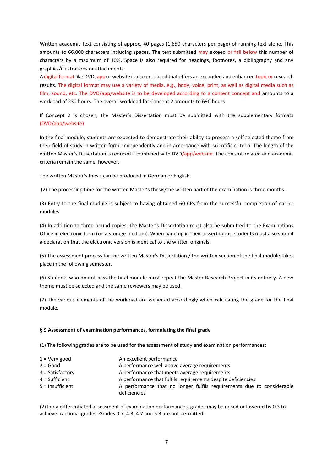Written academic text consisting of approx. 40 pages (1,650 characters per page) of running text alone. This amounts to 66,000 characters including spaces. The text submitted may exceed or fall below this number of characters by a maximum of 10%. Space is also required for headings, footnotes, a bibliography and any graphics/illustrations or attachments.

A digital format like DVD, app or website is also produced that offers an expanded and enhanced topic or research results. The digital format may use a variety of media, e.g., body, voice, print, as well as digital media such as film, sound, etc. The DVD/app/website is to be developed according to a content concept and amounts to a workload of 230 hours. The overall workload for Concept 2 amounts to 690 hours.

If Concept 2 is chosen, the Master's Dissertation must be submitted with the supplementary formats (DVD/app/website)

In the final module, students are expected to demonstrate their ability to process a self-selected theme from their field of study in written form, independently and in accordance with scientific criteria. The length of the written Master's Dissertation is reduced if combined with DVD/app/website. The content-related and academic criteria remain the same, however.

The written Master's thesis can be produced in German or English.

(2) The processing time for the written Master's thesis/the written part of the examination is three months.

(3) Entry to the final module is subject to having obtained 60 CPs from the successful completion of earlier modules.

(4) In addition to three bound copies, the Master's Dissertation must also be submitted to the Examinations Office in electronic form (on a storage medium). When handing in their dissertations, students must also submit a declaration that the electronic version is identical to the written originals.

(5) The assessment process for the written Master's Dissertation / the written section of the final module takes place in the following semester.

(6) Students who do not pass the final module must repeat the Master Research Project in its entirety. A new theme must be selected and the same reviewers may be used.

(7) The various elements of the workload are weighted accordingly when calculating the grade for the final module.

#### <span id="page-6-0"></span>**§ 9 Assessment of examination performances, formulating the final grade**

(1) The following grades are to be used for the assessment of study and examination performances:

| $1 =$ Very good    | An excellent performance                                                              |
|--------------------|---------------------------------------------------------------------------------------|
| $2 = Good$         | A performance well above average requirements                                         |
| $3 = Satisfactory$ | A performance that meets average requirements                                         |
| $4 = Sufficient$   | A performance that fulfils requirements despite deficiencies                          |
| $5 =$ Insufficient | A performance that no longer fulfils requirements due to considerable<br>deficiencies |

(2) For a differentiated assessment of examination performances, grades may be raised or lowered by 0.3 to achieve fractional grades. Grades 0.7, 4.3, 4.7 and 5.3 are not permitted.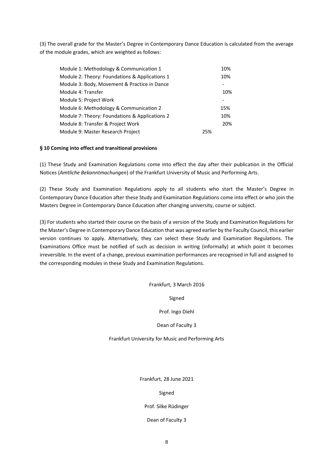(3) The overall grade for the Master's Degree in Contemporary Dance Education is calculated from the average of the module grades, which are weighted as follows:

| Module 1: Methodology & Communication 1        |     | 10% |
|------------------------------------------------|-----|-----|
| Module 2: Theory: Foundations & Applications 1 |     | 10% |
| Module 3: Body, Movement & Practice in Dance   |     |     |
| Module 4: Transfer                             |     | 10% |
| Module 5: Project Work                         |     |     |
| Module 6: Methodology & Communication 2        |     | 15% |
| Module 7: Theory: Foundations & Applications 2 |     | 10% |
| Module 8: Transfer & Project Work              |     | 20% |
| Module 9: Master Research Project              | 25% |     |

#### <span id="page-7-0"></span>**§ 10 Coming into effect and transitional provisions**

(1) These Study and Examination Regulations come into effect the day after their publication in the Official Notices (*Amtliche Bekanntmachungen*) of the Frankfurt University of Music and Performing Arts.

(2) These Study and Examination Regulations apply to all students who start the Master's Degree in Contemporary Dance Education after these Study and Examination Regulations come into effect or who join the Masters Degree in Contemporary Dance Education after changing university, course or subject.

(3) For students who started their course on the basis of a version of the Study and Examination Regulations for the Master's Degree in Contemporary Dance Education that was agreed earlier by the Faculty Council, this earlier version continues to apply. Alternatively, they can select these Study and Examination Regulations. The Examinations Office must be notified of such as decision in writing (informally) at which point it becomes irreversible. In the event of a change, previous examination performances are recognised in full and assigned to the corresponding modules in these Study and Examination Regulations.

Frankfurt, 3 March 2016

Signed

Prof. Ingo Diehl

Dean of Faculty 3

Frankfurt University for Music and Performing Arts

Frankfurt, 28 June 2021

Signed

Prof. Silke Rüdinger

Dean of Faculty 3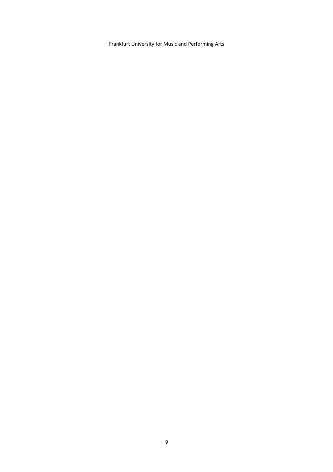Frankfurt University for Music and Performing Arts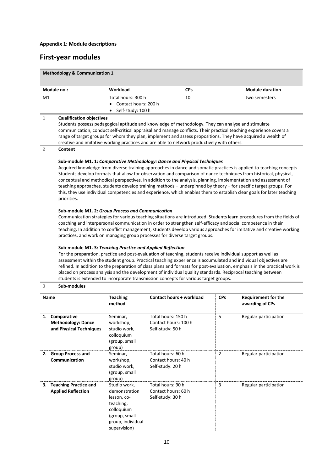# <span id="page-9-0"></span>**First-year modules**

| <b>Methodology &amp; Communication 1</b>                                                                                                                                                                                                                                                                                                                                                                                                                                                                                                                                                                                                                                                                                                                                                                                                                                                                                                                                                                                                                                                                                                                                                                                                                                                                                                                                                                                                                                                                                                                                                                                               |                                                                                                                                                                                                                                                                                                                                                                                                                                                                          |                                                                   |                                                                |                                                                                                             |                                               |  |
|----------------------------------------------------------------------------------------------------------------------------------------------------------------------------------------------------------------------------------------------------------------------------------------------------------------------------------------------------------------------------------------------------------------------------------------------------------------------------------------------------------------------------------------------------------------------------------------------------------------------------------------------------------------------------------------------------------------------------------------------------------------------------------------------------------------------------------------------------------------------------------------------------------------------------------------------------------------------------------------------------------------------------------------------------------------------------------------------------------------------------------------------------------------------------------------------------------------------------------------------------------------------------------------------------------------------------------------------------------------------------------------------------------------------------------------------------------------------------------------------------------------------------------------------------------------------------------------------------------------------------------------|--------------------------------------------------------------------------------------------------------------------------------------------------------------------------------------------------------------------------------------------------------------------------------------------------------------------------------------------------------------------------------------------------------------------------------------------------------------------------|-------------------------------------------------------------------|----------------------------------------------------------------|-------------------------------------------------------------------------------------------------------------|-----------------------------------------------|--|
|                                                                                                                                                                                                                                                                                                                                                                                                                                                                                                                                                                                                                                                                                                                                                                                                                                                                                                                                                                                                                                                                                                                                                                                                                                                                                                                                                                                                                                                                                                                                                                                                                                        | Module no.:                                                                                                                                                                                                                                                                                                                                                                                                                                                              | Workload<br><b>CPs</b>                                            |                                                                |                                                                                                             | <b>Module duration</b>                        |  |
| M1                                                                                                                                                                                                                                                                                                                                                                                                                                                                                                                                                                                                                                                                                                                                                                                                                                                                                                                                                                                                                                                                                                                                                                                                                                                                                                                                                                                                                                                                                                                                                                                                                                     |                                                                                                                                                                                                                                                                                                                                                                                                                                                                          | Total hours: 300 h<br>Contact hours: 200 h<br>• Self-study: 100 h | 10                                                             |                                                                                                             | two semesters                                 |  |
| 1                                                                                                                                                                                                                                                                                                                                                                                                                                                                                                                                                                                                                                                                                                                                                                                                                                                                                                                                                                                                                                                                                                                                                                                                                                                                                                                                                                                                                                                                                                                                                                                                                                      | <b>Qualification objectives</b><br>Students possess pedagogical aptitude and knowledge of methodology. They can analyse and stimulate<br>communication, conduct self-critical appraisal and manage conflicts. Their practical teaching experience covers a<br>range of target groups for whom they plan, implement and assess propositions. They have acquired a wealth of<br>creative and imitative working practices and are able to network productively with others. |                                                                   |                                                                |                                                                                                             |                                               |  |
| $\overline{2}$                                                                                                                                                                                                                                                                                                                                                                                                                                                                                                                                                                                                                                                                                                                                                                                                                                                                                                                                                                                                                                                                                                                                                                                                                                                                                                                                                                                                                                                                                                                                                                                                                         | Content                                                                                                                                                                                                                                                                                                                                                                                                                                                                  |                                                                   |                                                                |                                                                                                             |                                               |  |
| Sub-module M1. 1: Comparative Methodology: Dance and Physical Techniques<br>Acquired knowledge from diverse training approaches in dance and somatic practices is applied to teaching concepts.<br>Students develop formats that allow for observation and comparison of dance techniques from historical, physical,<br>conceptual and methodical perspectives. In addition to the analysis, planning, implementation and assessment of<br>teaching approaches, students develop training methods - underpinned by theory - for specific target groups. For<br>this, they use individual competencies and experience, which enables them to establish clear goals for later teaching<br>priorities.<br>Sub-module M1. 2: Group Process and Communication<br>Communication strategies for various teaching situations are introduced. Students learn procedures from the fields of<br>coaching and interpersonal communication in order to strengthen self-efficacy and social competence in their<br>teaching. In addition to conflict management, students develop various approaches for imitative and creative working<br>practices, and work on managing group processes for diverse target groups.<br>Sub-module M1. 3: Teaching Practice and Applied Reflection<br>For the preparation, practice and post-evaluation of teaching, students receive individual support as well as<br>assessment within the student group. Practical teaching experience is accumulated and individual objectives are<br>refined. In addition to the preparation of class plans and formats for post-evaluation, emphasis in the practical work is |                                                                                                                                                                                                                                                                                                                                                                                                                                                                          |                                                                   |                                                                | placed on process analysis and the development of individual quality standards. Reciprocal teaching between |                                               |  |
| students is extended to incorporate transmission concepts for various target groups.                                                                                                                                                                                                                                                                                                                                                                                                                                                                                                                                                                                                                                                                                                                                                                                                                                                                                                                                                                                                                                                                                                                                                                                                                                                                                                                                                                                                                                                                                                                                                   |                                                                                                                                                                                                                                                                                                                                                                                                                                                                          |                                                                   |                                                                |                                                                                                             |                                               |  |
| Sub-modules<br>3                                                                                                                                                                                                                                                                                                                                                                                                                                                                                                                                                                                                                                                                                                                                                                                                                                                                                                                                                                                                                                                                                                                                                                                                                                                                                                                                                                                                                                                                                                                                                                                                                       |                                                                                                                                                                                                                                                                                                                                                                                                                                                                          |                                                                   |                                                                |                                                                                                             |                                               |  |
| <b>Name</b>                                                                                                                                                                                                                                                                                                                                                                                                                                                                                                                                                                                                                                                                                                                                                                                                                                                                                                                                                                                                                                                                                                                                                                                                                                                                                                                                                                                                                                                                                                                                                                                                                            |                                                                                                                                                                                                                                                                                                                                                                                                                                                                          | <b>Teaching</b><br>method                                         | <b>Contact hours + workload</b>                                | <b>CPs</b>                                                                                                  | <b>Requirement for the</b><br>awarding of CPs |  |
| 1. Comparative<br><b>Methodology: Dance</b><br>and Physical Techniques                                                                                                                                                                                                                                                                                                                                                                                                                                                                                                                                                                                                                                                                                                                                                                                                                                                                                                                                                                                                                                                                                                                                                                                                                                                                                                                                                                                                                                                                                                                                                                 |                                                                                                                                                                                                                                                                                                                                                                                                                                                                          | Seminar,<br>workshop,<br>studio work,<br>colloquium               | Total hours: 150 h<br>Contact hours: 100 h<br>Self-study: 50 h | 5                                                                                                           | Regular participation                         |  |

|                                                       | colloquium<br>(group, small<br>group)                                                                                         |                                                              |   |                       |
|-------------------------------------------------------|-------------------------------------------------------------------------------------------------------------------------------|--------------------------------------------------------------|---|-----------------------|
| 2. Group Process and<br>Communication                 | Seminar,<br>workshop,<br>studio work,<br>(group, small<br>group)                                                              | Total hours: 60 h<br>Contact hours: 40 h<br>Self-study: 20 h | 2 | Regular participation |
| 3. Teaching Practice and<br><b>Applied Reflection</b> | Studio work,<br>demonstration<br>lesson, co-<br>teaching,<br>colloquium<br>(group, small<br>group, individual<br>supervision) | Total hours: 90 h<br>Contact hours: 60 h<br>Self-study: 30 h | 3 | Regular participation |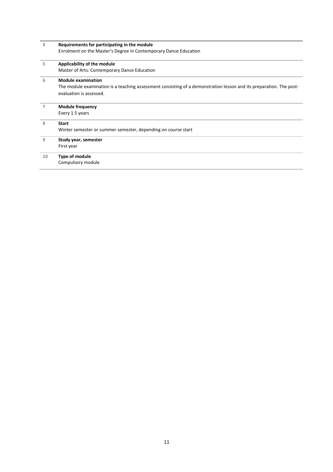| 4  | Requirements for participating in the module                                                                        |
|----|---------------------------------------------------------------------------------------------------------------------|
|    | Enrolment on the Master's Degree in Contemporary Dance Education                                                    |
| 5  | Applicability of the module                                                                                         |
|    | Master of Arts: Contemporary Dance Education                                                                        |
| 6  | <b>Module examination</b>                                                                                           |
|    | The module examination is a teaching assessment consisting of a demonstration lesson and its preparation. The post- |
|    | evaluation is assessed.                                                                                             |
| 7  | <b>Module frequency</b>                                                                                             |
|    | Every 1.5 years                                                                                                     |
| 8  | <b>Start</b>                                                                                                        |
|    | Winter semester or summer semester, depending on course start                                                       |
| 9  | Study year, semester                                                                                                |
|    | First year                                                                                                          |
| 10 | Type of module                                                                                                      |
|    | Compulsory module                                                                                                   |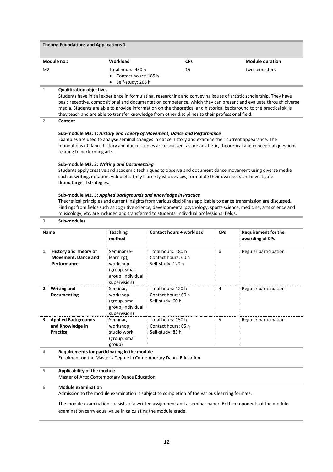| <b>Theory: Foundations and Applications 1</b> |                                                |            |                        |  |
|-----------------------------------------------|------------------------------------------------|------------|------------------------|--|
| Module no.:                                   | Workload                                       | <b>CPs</b> | <b>Module duration</b> |  |
| M <sub>2</sub>                                | Total hours: 450 h<br>• Contact hours: $185 h$ | 15         | two semesters          |  |
|                                               | Self-study: 265 h<br>$\bullet$                 |            |                        |  |

Students have initial experience in formulating, researching and conveying issues of artistic scholarship. They have basic receptive, compositional and documentation competence, which they can present and evaluate through diverse media. Students are able to provide information on the theoretical and historical background to the practical skills they teach and are able to transfer knowledge from other disciplines to their professional field.

#### **2 Content**

#### **Sub-module M2. 1:** *History and Theory of Movement, Dance and Performance*

Examples are used to analyse seminal changes in dance history and examine their current appearance. The foundations of dance history and dance studies are discussed, as are aesthetic, theoretical and conceptual questions relating to performing arts.

#### **Sub-module M2. 2:** *Writing and Documenting*

Students apply creative and academic techniques to observe and document dance movement using diverse media such as writing, notation, video etc. They learn stylistic devices, formulate their own texts and investigate dramaturgical strategies.

#### **Sub-module M2. 3:** *Applied Backgrounds and Knowledge in Practice*

Theoretical principles and current insights from various disciplines applicable to dance transmission are discussed. Findings from fields such as cognitive science, developmental psychology, sports science, medicine, arts science and musicology, etc. are included and transferred to students' individual professional fields.

#### **3 Sub-modules**

|    | <b>Name</b>                                                        | <b>Teaching</b><br>method                                                                   | Contact hours + workload                                       | <b>CPs</b> | <b>Requirement for the</b><br>awarding of CPs |
|----|--------------------------------------------------------------------|---------------------------------------------------------------------------------------------|----------------------------------------------------------------|------------|-----------------------------------------------|
| 1. | <b>History and Theory of</b><br>Movement, Dance and<br>Performance | Seminar (e-<br>learning),<br>workshop<br>(group, small<br>group, individual<br>supervision) | Total hours: 180 h<br>Contact hours: 60 h<br>Self-study: 120 h | 6          | Regular participation                         |
| 2. | <b>Writing and</b><br><b>Documenting</b>                           | Seminar,<br>workshop<br>(group, small<br>group, individual<br>supervision)                  | Total hours: 120 h<br>Contact hours: 60 h<br>Self-study: 60 h  | 4          | Regular participation                         |
|    | 3. Applied Backgrounds<br>and Knowledge in<br>Practice             | Seminar,<br>workshop,<br>studio work,<br>(group, small<br>group)                            | Total hours: 150 h<br>Contact hours: 65 h<br>Self-study: 85 h  | 5          | Regular participation                         |

#### **4 Requirements for participating in the module** Enrolment on the Master's Degree in Contemporary Dance Education

## **5 Applicability of the module**

Master of Arts: Contemporary Dance Education

#### **6 Module examination**

Admission to the module examination is subject to completion of the various learning formats.

The module examination consists of a written assignment and a seminar paper. Both components of the module examination carry equal value in calculating the module grade.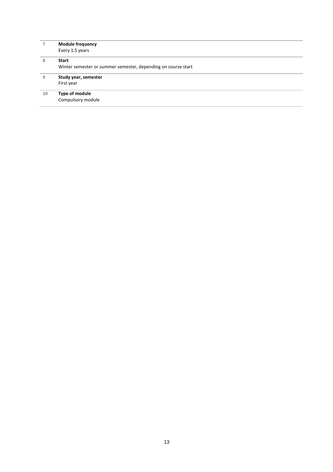|    | <b>Module frequency</b>                                       |
|----|---------------------------------------------------------------|
|    | Every 1.5 years                                               |
| 8  | <b>Start</b>                                                  |
|    | Winter semester or summer semester, depending on course start |
| 9  | Study year, semester                                          |
|    | First year                                                    |
| 10 | Type of module                                                |
|    | Compulsory module                                             |
|    |                                                               |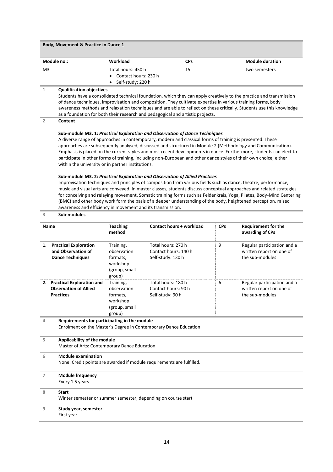| Body, Movement & Practice in Dance 1 |                                                                                |            |                        |  |
|--------------------------------------|--------------------------------------------------------------------------------|------------|------------------------|--|
| Module no.:                          | Workload                                                                       | <b>CPs</b> | <b>Module duration</b> |  |
| M <sub>3</sub>                       | Total hours: 450 h<br>• Contact hours: 230 h<br>Self-study: 220 h<br>$\bullet$ | 15         | two semesters          |  |

Students have a consolidated technical foundation, which they can apply creatively to the practice and transmission of dance techniques, improvisation and composition. They cultivate expertise in various training forms, body awareness methods and relaxation techniques and are able to reflect on these critically. Students use this knowledge as a foundation for both their research and pedagogical and artistic projects.

#### **2 Content**

**3 Sub-modules**

#### **Sub-module M3. 1:** *Practical Exploration and Observation of Dance Techniques*

A diverse range of approaches in contemporary, modern and classical forms of training is presented. These approaches are subsequently analysed, discussed and structured in Module 2 (Methodology and Communication). Emphasis is placed on the current styles and most recent developments in dance. Furthermore, students can elect to participate in other forms of training, including non-European and other dance styles of their own choice, either within the university or in partner institutions.

#### **Sub-module M3. 2:** *Practical Exploration and Observation of Allied Practices*

Improvisation techniques and principles of composition from various fields such as dance, theatre, performance, music and visual arts are conveyed. In master classes, students discuss conceptual approaches and related strategies for conceiving and relaying movement. Somatic training forms such as Feldenkrais, Yoga, Pilates, Body-Mind Centering (BMC) and other body work form the basis of a deeper understanding of the body, heightened perception, raised awareness and efficiency in movement and its transmission.

#### **Name Teaching method Contact hours + workload CPs Requirement for the awarding of CPs 1. Practical Exploration and Observation of Dance Techniques** Training, observation formats, workshop (group, small group) Total hours: 270 h Contact hours: 140 h Self-study: 130 h 9 Regular participation and a written report on one of the sub-modules **2. Practical Exploration and Observation of Allied Practices** Training, observation formats, workshop (group, small group) Total hours: 180 h Contact hours: 90 h Self-study: 90 h 6 Regular participation and a written report on one of the sub-modules **4 Requirements for participating in the module** Enrolment on the Master's Degree in Contemporary Dance Education **5 Applicability of the module** Master of Arts: Contemporary Dance Education **6 Module examination** None. Credit points are awarded if module requirements are fulfilled. **7 Module frequency** Every 1.5 years **8 Start** Winter semester or summer semester, depending on course start **9 Study year, semester** First year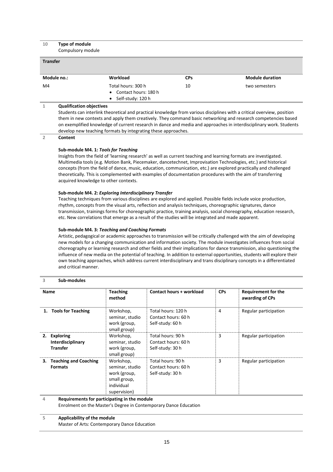| 10<br>Type of module<br>Compulsory module |                                                                                                                                                           |            |                        |
|-------------------------------------------|-----------------------------------------------------------------------------------------------------------------------------------------------------------|------------|------------------------|
| <b>Transfer</b>                           |                                                                                                                                                           |            |                        |
| Module no.:                               | Workload                                                                                                                                                  | <b>CPs</b> | <b>Module duration</b> |
| M4                                        | Total hours: 300 h<br>Contact hours: 180 h<br>Self-study: 120 h                                                                                           | 10         | two semesters          |
| 1                                         | <b>Qualification objectives</b><br>Students can interlink theoretical and practical knowledge from various disciplines with a critical overview, position |            |                        |

them in new contexts and apply them creatively. They command basic networking and research competencies based on exemplified knowledge of current research in dance and media and approaches in interdisciplinary work. Students develop new teaching formats by integrating these approaches.

**2 Content**

#### **Sub-module M4. 1:** *Tools for Teaching*

Insights from the field of 'learning research' as well as current teaching and learning formats are investigated. Multimedia tools (e.g. Motion Bank, Piecemaker, dancetechnet, Improvisation Technologies, etc.) and historical concepts (from the field of dance, music, education, communication, etc.) are explored practically and challenged theoretically. This is complemented with examples of documentation procedures with the aim of transferring acquired knowledge to other contexts.

#### **Sub-module M4. 2:** *Exploring Interdisciplinary Transfer*

Teaching techniques from various disciplines are explored and applied. Possible fields include voice production, rhythm, concepts from the visual arts, reflection and analysis techniques, choreographic signatures, dance transmission, trainings forms for choreographic practice, training analysis, social choreography, education research, etc. New correlations that emerge as a result of the studies will be integrated and made apparent.

#### **Sub-module M4. 3:** *Teaching and Coaching Formats*

Artistic, pedagogical or academic approaches to transmission will be critically challenged with the aim of developing new models for a changing communication and information society. The module investigates influences from social choreography or learning research and other fields and their implications for dance transmission, also questioning the influence of new media on the potential of teaching. In addition to external opportunities, students will explore their own teaching approaches, which address current interdisciplinary and trans disciplinary concepts in a differentiated and critical manner.

#### **3 Sub-modules**

| <b>Name</b>                                          | <b>Teaching</b><br>method                                                                  | Contact hours + workload                                      | <b>CPs</b> | <b>Requirement for the</b><br>awarding of CPs |
|------------------------------------------------------|--------------------------------------------------------------------------------------------|---------------------------------------------------------------|------------|-----------------------------------------------|
| <b>Tools for Teaching</b><br>1.                      | Workshop,<br>seminar, studio<br>work (group,<br>small group)                               | Total hours: 120 h<br>Contact hours: 60 h<br>Self-study: 60 h | 4          | Regular participation                         |
| 2. Exploring<br>Interdisciplinary<br><b>Transfer</b> | Workshop,<br>seminar, studio<br>work (group,<br>small group)                               | Total hours: 90 h<br>Contact hours: 60 h<br>Self-study: 30 h  | 3          | Regular participation                         |
| 3. Teaching and Coaching<br><b>Formats</b>           | Workshop,<br>seminar, studio<br>work (group,<br>small group,<br>individual<br>supervision) | Total hours: 90 h<br>Contact hours: 60 h<br>Self-study: 30 h  | 3          | Regular participation                         |

#### **4 Requirements for participating in the module**

Enrolment on the Master's Degree in Contemporary Dance Education

#### **5 Applicability of the module**

Master of Arts: Contemporary Dance Education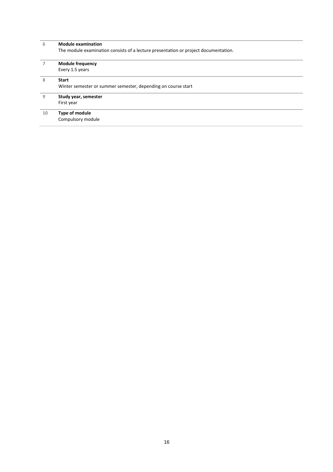| 6  | <b>Module examination</b>                                                           |  |  |  |  |
|----|-------------------------------------------------------------------------------------|--|--|--|--|
|    | The module examination consists of a lecture presentation or project documentation. |  |  |  |  |
|    | <b>Module frequency</b>                                                             |  |  |  |  |
|    | Every 1.5 years                                                                     |  |  |  |  |
| 8  | <b>Start</b>                                                                        |  |  |  |  |
|    | Winter semester or summer semester, depending on course start                       |  |  |  |  |
| 9  | Study year, semester                                                                |  |  |  |  |
|    | First year                                                                          |  |  |  |  |
| 10 | Type of module                                                                      |  |  |  |  |
|    | Compulsory module                                                                   |  |  |  |  |
|    |                                                                                     |  |  |  |  |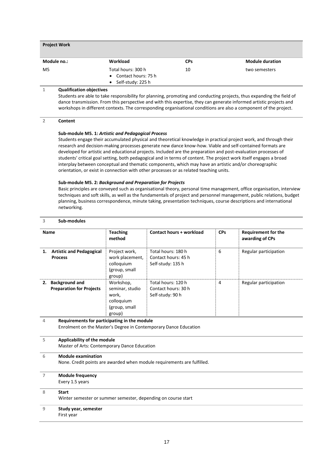| <b>Project Work</b>                           |                             |                        |  |  |
|-----------------------------------------------|-----------------------------|------------------------|--|--|
| Workload                                      | <b>CPs</b>                  | <b>Module duration</b> |  |  |
| Total hours: 300 h<br>• Contact hours: $75 h$ | 10                          | two semesters          |  |  |
|                                               | $\bullet$ Self-study: 225 h |                        |  |  |

Students are able to take responsibility for planning, promoting and conducting projects, thus expanding the field of dance transmission. From this perspective and with this expertise, they can generate informed artistic projects and workshops in different contexts. The corresponding organisational conditions are also a component of the project.

#### **2 Content**

**3 Sub-modules**

#### **Sub-module M5. 1:** *Artistic and Pedagogical Process*

Students engage their accumulated physical and theoretical knowledge in practical project work, and through their research and decision-making processes generate new dance know-how. Viable and self-contained formats are developed for artistic and educational projects. Included are the preparation and post-evaluation processes of students' critical goal setting, both pedagogical and in terms of content. The project work itself engages a broad interplay between conceptual and thematic components, which may have an artistic and/or choreographic orientation, or exist in connection with other processes or as related teaching units.

#### **Sub-module M5. 2:** *Background and Preparation for Projects*

Basic principles are conveyed such as organisational theory, personal time management, office organisation, interview techniques and soft skills, as well as the fundamentals of project and personnel management, public relations, budget planning, business correspondence, minute taking, presentation techniques, course descriptions and international networking.

| <b>Name</b>                                                  | <b>Teaching</b><br>method                                                      | <b>Contact hours + workload</b>                                         | <b>CPs</b> | <b>Requirement for the</b><br>awarding of CPs |  |
|--------------------------------------------------------------|--------------------------------------------------------------------------------|-------------------------------------------------------------------------|------------|-----------------------------------------------|--|
| <b>Artistic and Pedagogical</b><br>1.<br><b>Process</b>      | Project work,<br>work placement,<br>colloquium<br>(group, small<br>group)      | Total hours: 180 h<br>Contact hours: 45 h<br>Self-study: 135 h          | 6          | Regular participation                         |  |
| 2. Background and<br><b>Preparation for Projects</b>         | Workshop,<br>seminar, studio<br>work,<br>colloquium<br>(group, small<br>group) | Total hours: 120 h<br>Contact hours: 30 h<br>Self-study: 90 h           | 4          | Regular participation                         |  |
| Requirements for participating in the module<br>4            |                                                                                | Enrolment on the Master's Degree in Contemporary Dance Education        |            |                                               |  |
| 5                                                            | Applicability of the module<br>Master of Arts: Contemporary Dance Education    |                                                                         |            |                                               |  |
| <b>Module examination</b><br>6                               |                                                                                | None. Credit points are awarded when module requirements are fulfilled. |            |                                               |  |
| $\overline{7}$<br><b>Module frequency</b><br>Every 1.5 years |                                                                                |                                                                         |            |                                               |  |
| 8<br><b>Start</b>                                            |                                                                                | Winter semester or summer semester, depending on course start           |            |                                               |  |
| 9<br>Study year, semester<br>First year                      |                                                                                |                                                                         |            |                                               |  |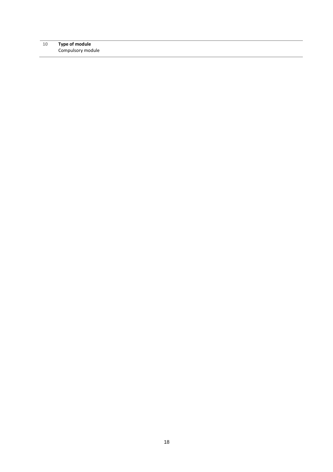#### **Type of module** Compulsory module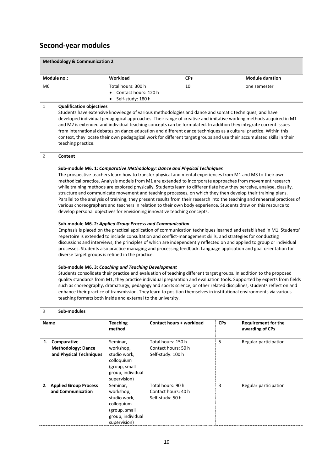# **Second-year modules**

| <b>Methodology &amp; Communication 2</b> |                                                                             |            |                        |  |
|------------------------------------------|-----------------------------------------------------------------------------|------------|------------------------|--|
| Module no.:                              | Workload                                                                    | <b>CPs</b> | <b>Module duration</b> |  |
| M6                                       | Total hours: 300 h<br>• Contact hours: 120 h<br>$\bullet$ Self-study: 180 h | 10         | one semester           |  |
| <b>Qualification objectives</b>          |                                                                             |            |                        |  |

#### **1 Qualification objectives**

Students have extensive knowledge of various methodologies and dance and somatic techniques, and have developed individual pedagogical approaches. Their range of creative and imitative working methods acquired in M1 and M2 is extended and individual teaching concepts can be formulated. In addition they integrate current issues from international debates on dance education and different dance techniques as a cultural practice. Within this context, they locate their own pedagogical work for different target groups and use their accumulated skills in their teaching practice.

#### **2 Content**

#### **Sub-module M6. 1:** *Comparative Methodology: Dance and Physical Techniques*

The prospective teachers learn how to transfer physical and mental experiences from M1 and M3 to their own methodical practice. Analysis models from M1 are extended to incorporate approaches from movement research while training methods are explored physically. Students learn to differentiate how they perceive, analyse, classify, structure and communicate movement and teaching processes, on which they then develop their training plans. Parallel to the analysis of training, they present results from their research into the teaching and rehearsal practices of various choreographers and teachers in relation to their own body experience. Students draw on this resource to develop personal objectives for envisioning innovative teaching concepts.

#### **Sub-module M6. 2:** *Applied Group Process and Communication*

Emphasis is placed on the practical application of communication techniques learned and established in M1. Students' repertoire is extended to include consultation and conflict-management skills, and strategies for conducting discussions and interviews, the principles of which are independently reflected on and applied to group or individual processes. Students also practice managing and processing feedback. Language application and goal orientation for diverse target groups is refined in the practice.

#### **Sub-module M6. 3:** *Coaching and Teaching Development*

Students consolidate their practice and evaluation of teaching different target groups. In addition to the proposed quality standards from M1, they practice individual preparation and evaluation tools. Supported by experts from fields such as choreography, dramaturgy, pedagogy and sports science, or other related disciplines, students reflect on and enhance their practice of transmission. They learn to position themselves in institutional environments via various teaching formats both inside and external to the university.

#### **3 Sub-modules**

| <b>Name</b> |                                                                     | <b>Teaching</b><br>method                                                                                 | Contact hours + workload                                       | <b>CPs</b> | <b>Requirement for the</b><br>awarding of CPs |
|-------------|---------------------------------------------------------------------|-----------------------------------------------------------------------------------------------------------|----------------------------------------------------------------|------------|-----------------------------------------------|
| 1.          | Comparative<br><b>Methodology: Dance</b><br>and Physical Techniques | Seminar,<br>workshop,<br>studio work,<br>colloquium<br>(group, small<br>group, individual<br>supervision) | Total hours: 150 h<br>Contact hours: 50 h<br>Self-study: 100 h | 5          | Regular participation                         |
|             | 2. Applied Group Process<br>and Communication                       | Seminar,<br>workshop,<br>studio work,<br>colloquium<br>(group, small<br>group, individual<br>supervision) | Total hours: 90 h<br>Contact hours: 40 h<br>Self-study: 50 h   | 3          | Regular participation                         |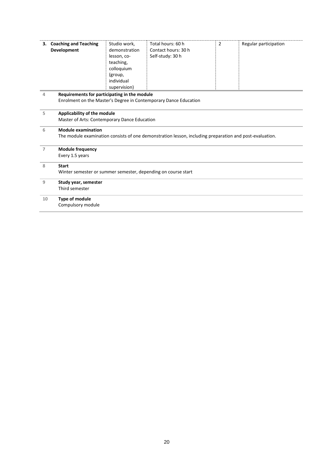|    | 3. Coaching and Teaching<br><b>Development</b>                                                                                       | Studio work,<br>demonstration<br>lesson, co-<br>teaching,<br>colloquium<br>(group,<br>individual<br>supervision) | Total hours: 60 h<br>Contact hours: 30 h<br>Self-study: 30 h     | $\overline{2}$ | Regular participation |  |
|----|--------------------------------------------------------------------------------------------------------------------------------------|------------------------------------------------------------------------------------------------------------------|------------------------------------------------------------------|----------------|-----------------------|--|
| 4  | Requirements for participating in the module                                                                                         |                                                                                                                  | Enrolment on the Master's Degree in Contemporary Dance Education |                |                       |  |
| 5  | Applicability of the module<br>Master of Arts: Contemporary Dance Education                                                          |                                                                                                                  |                                                                  |                |                       |  |
| 6  | <b>Module examination</b><br>The module examination consists of one demonstration lesson, including preparation and post-evaluation. |                                                                                                                  |                                                                  |                |                       |  |
| 7  | <b>Module frequency</b><br>Every 1.5 years                                                                                           |                                                                                                                  |                                                                  |                |                       |  |
| 8  | <b>Start</b><br>Winter semester or summer semester, depending on course start                                                        |                                                                                                                  |                                                                  |                |                       |  |
| 9  | Study year, semester<br>Third semester                                                                                               |                                                                                                                  |                                                                  |                |                       |  |
| 10 | Type of module<br>Compulsory module                                                                                                  |                                                                                                                  |                                                                  |                |                       |  |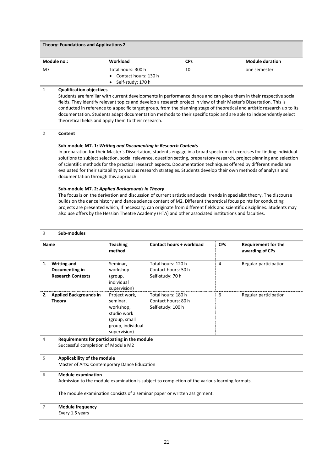| <b>Theory: Foundations and Applications 2</b> |                                              |            |                        |  |
|-----------------------------------------------|----------------------------------------------|------------|------------------------|--|
| Module no.:                                   | <b>Workload</b>                              | <b>CPs</b> | <b>Module duration</b> |  |
| M7                                            | Total hours: 300 h<br>• Contact hours: 130 h | 10         | one semester           |  |
|                                               | Self-study: 170 h<br>$\bullet$               |            |                        |  |

Students are familiar with current developments in performance dance and can place them in their respective social fields. They identify relevant topics and develop a research project in view of their Master's Dissertation. This is conducted in reference to a specific target group, from the planning stage of theoretical and artistic research up to its documentation. Students adapt documentation methods to their specific topic and are able to independently select theoretical fields and apply them to their research.

#### **2 Content**

#### **Sub-module M7. 1:** *Writing and Documenting in Research Contexts*

In preparation for their Master's Dissertation, students engage in a broad spectrum of exercises for finding individual solutions to subject selection, social relevance, question setting, preparatory research, project planning and selection of scientific methods for the practical research aspects. Documentation techniques offered by different media are evaluated for their suitability to various research strategies. Students develop their own methods of analysis and documentation through this approach.

#### **Sub-module M7. 2:** *Applied Backgrounds in Theory*

The focus is on the derivation and discussion of current artistic and social trends in specialist theory. The discourse builds on the dance history and dance science content of M2. Different theoretical focus points for conducting projects are presented which, If necessary, can originate from different fields and scientific disciplines. Students may also use offers by the Hessian Theatre Academy (HTA) and other associated institutions and faculties.

#### **3 Sub-modules**

| <b>Name</b>                                                            | <b>Teaching</b><br>method                                                                                   | Contact hours + workload                                       | <b>CPs</b> | <b>Requirement for the</b><br>awarding of CPs |
|------------------------------------------------------------------------|-------------------------------------------------------------------------------------------------------------|----------------------------------------------------------------|------------|-----------------------------------------------|
| <b>Writing and</b><br>1.<br>Documenting in<br><b>Research Contexts</b> | Seminar,<br>workshop<br>(group,<br>individual<br>supervision)                                               | Total hours: 120 h<br>Contact hours: 50 h<br>Self-study: 70 h  | 4          | Regular participation                         |
| <b>Applied Backgrounds in</b><br>2.<br>Theory                          | Project work,<br>seminar,<br>workshop,<br>studio work<br>(group, small<br>group, individual<br>supervision) | Total hours: 180 h<br>Contact hours: 80 h<br>Self-study: 100 h | 6          | Regular participation                         |

#### **4 Requirements for participating in the module** Successful completion of Module M2

#### **5 Applicability of the module**

Master of Arts: Contemporary Dance Education

#### **6 Module examination**

Admission to the module examination is subject to completion of the various learning formats.

The module examination consists of a seminar paper or written assignment.

#### **7 Module frequency**

Every 1.5 years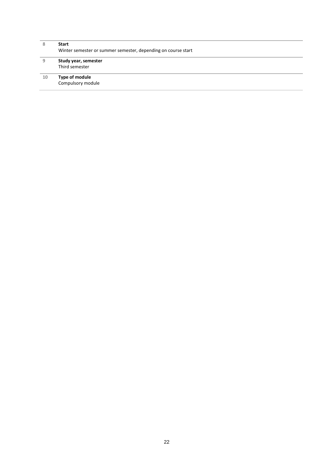| 8  | <b>Start</b><br>Winter semester or summer semester, depending on course start |
|----|-------------------------------------------------------------------------------|
| 9  | Study year, semester<br>Third semester                                        |
| 10 | Type of module<br>Compulsory module                                           |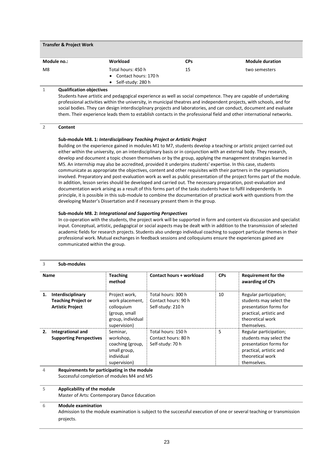| <b>Transfer &amp; Project Work</b> |                                                                             |            |                        |  |  |
|------------------------------------|-----------------------------------------------------------------------------|------------|------------------------|--|--|
| Module no.:                        | Workload                                                                    | <b>CPs</b> | <b>Module duration</b> |  |  |
| M8                                 | Total hours: 450 h<br>• Contact hours: 170 h<br>$\bullet$ Self-study: 280 h | 15         | two semesters          |  |  |

Students have artistic and pedagogical experience as well as social competence. They are capable of undertaking professional activities within the university, in municipal theatres and independent projects, with schools, and for social bodies. They can design interdisciplinary projects and laboratories, and can conduct, document and evaluate them. Their experience leads them to establish contacts in the professional field and other international networks.

#### **2 Content**

#### **Sub-module M8. 1:** *Interdisciplinary Teaching Project or Artistic Project*

Building on the experience gained in modules M1 to M7, students develop a teaching or artistic project carried out either within the university, on an interdisciplinary basis or in conjunction with an external body. They research, develop and document a topic chosen themselves or by the group, applying the management strategies learned in M5. An internship may also be accredited, provided it underpins students' expertise. In this case, students communicate as appropriate the objectives, content and other requisites with their partners in the organisations involved. Preparatory and post-evaluation work as well as public presentation of the project forms part of the module. In addition, lesson series should be developed and carried out. The necessary preparation, post-evaluation and documentation work arising as a result of this forms part of the tasks students have to fulfil independently. In principle, it is possible in this sub-module to combine the documentation of practical work with questions from the developing Master's Dissertation and if necessary present them in the group.

#### **Sub-module M8. 2:** *Integrational and Supporting Perspectives*

In co-operation with the students, the project work will be supported in form and content via discussion and specialist input. Conceptual, artistic, pedagogical or social aspects may be dealt with in addition to the transmission of selected academic fields for research projects. Students also undergo individual coaching to support particular themes in their professional work. Mutual exchanges in feedback sessions and colloquiums ensure the experiences gained are communicated within the group.

#### **3 Sub-modules**

| Name |                                                                            | <b>Teaching</b><br>method                                                                            | Contact hours + workload                                       | <b>CPs</b> | <b>Requirement for the</b><br>awarding of CPs                                                                                             |
|------|----------------------------------------------------------------------------|------------------------------------------------------------------------------------------------------|----------------------------------------------------------------|------------|-------------------------------------------------------------------------------------------------------------------------------------------|
| 1.   | Interdisciplinary<br><b>Teaching Project or</b><br><b>Artistic Project</b> | Project work,<br>work placement,<br>colloquium<br>(group, small<br>group, individual<br>supervision) | Total hours: 300 h<br>Contact hours: 90 h<br>Self-study: 210 h | 10         | Regular participation;<br>students may select the<br>presentation forms for<br>practical, artistic and<br>theoretical work<br>themselves. |
| 2.   | Integrational and<br><b>Supporting Perspectives</b>                        | Seminar,<br>workshop,<br>coaching (group,<br>small group,<br>individual<br>supervision)              | Total hours: 150 h<br>Contact hours: 80 h<br>Self-study: 70 h  | 5          | Regular participation;<br>students may select the<br>presentation forms for<br>practical, artistic and<br>theoretical work<br>themselves. |

**4 Requirements for participating in the module** Successful completion of modules M4 and M5

#### **5 Applicability of the module**

Master of Arts: Contemporary Dance Education

#### **6 Module examination**

Admission to the module examination is subject to the successful execution of one or several teaching or transmission projects.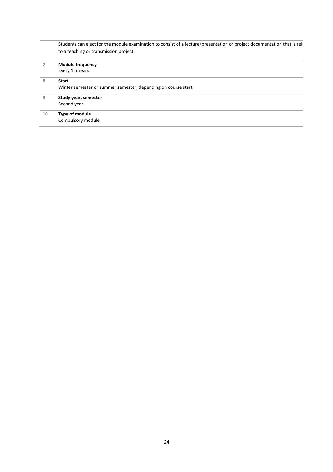|    | Students can elect for the module examination to consist of a lecture/presentation or project documentation that is rela |  |  |  |  |  |
|----|--------------------------------------------------------------------------------------------------------------------------|--|--|--|--|--|
|    | to a teaching or transmission project.                                                                                   |  |  |  |  |  |
| 7  | <b>Module frequency</b>                                                                                                  |  |  |  |  |  |
|    | Every 1.5 years                                                                                                          |  |  |  |  |  |
| 8  | <b>Start</b>                                                                                                             |  |  |  |  |  |
|    | Winter semester or summer semester, depending on course start                                                            |  |  |  |  |  |
| 9  | Study year, semester                                                                                                     |  |  |  |  |  |
|    | Second year                                                                                                              |  |  |  |  |  |
| 10 | Type of module                                                                                                           |  |  |  |  |  |
|    | Compulsory module                                                                                                        |  |  |  |  |  |
|    |                                                                                                                          |  |  |  |  |  |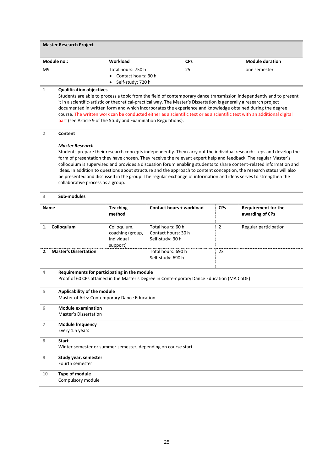| <b>Master Research Project</b> |                                             |            |                        |  |  |  |
|--------------------------------|---------------------------------------------|------------|------------------------|--|--|--|
| Module no.:                    | Workload                                    | <b>CPs</b> | <b>Module duration</b> |  |  |  |
| M9                             | Total hours: 750 h<br>• Contact hours: 30 h | 25         | one semester           |  |  |  |
|                                | Self-study: 720 h<br>$\bullet$              |            |                        |  |  |  |

Students are able to process a topic from the field of contemporary dance transmission independently and to present it in a scientific-artistic or theoretical-practical way. The Master's Dissertation is generally a research project documented in written form and which incorporates the experience and knowledge obtained during the degree course. The written work can be conducted either as a scientific text or as a scientific text with an additional digital part (see Article 9 of the Study and Examination Regulations).

#### **2 Content**

#### *Master Research*

Students prepare their research concepts independently. They carry out the individual research steps and develop the form of presentation they have chosen. They receive the relevant expert help and feedback. The regular Master's colloquium is supervised and provides a discussion forum enabling students to share content-related information and ideas. In addition to questions about structure and the approach to content conception, the research status will also be presented and discussed in the group. The regular exchange of information and ideas serves to strengthen the collaborative process as a group.

#### **3 Sub-modules**

| <b>Name</b> |                                                                                                                                           | <b>Teaching</b><br>method                                 | <b>Contact hours + workload</b>                              | <b>CPs</b>     | <b>Requirement for the</b><br>awarding of CPs |  |  |  |
|-------------|-------------------------------------------------------------------------------------------------------------------------------------------|-----------------------------------------------------------|--------------------------------------------------------------|----------------|-----------------------------------------------|--|--|--|
| 1.          | Colloquium                                                                                                                                | Colloquium,<br>coaching (group,<br>individual<br>support) | Total hours: 60 h<br>Contact hours: 30 h<br>Self-study: 30 h | $\overline{2}$ | Regular participation                         |  |  |  |
| 2.          | <b>Master's Dissertation</b>                                                                                                              |                                                           | Total hours: 690 h<br>Self-study: 690 h                      | 23             |                                               |  |  |  |
| 4           | Requirements for participating in the module<br>Proof of 60 CPs attained in the Master's Degree in Contemporary Dance Education (MA CoDE) |                                                           |                                                              |                |                                               |  |  |  |
| 5           | Applicability of the module<br>Master of Arts: Contemporary Dance Education                                                               |                                                           |                                                              |                |                                               |  |  |  |
| 6           | <b>Module examination</b><br><b>Master's Dissertation</b>                                                                                 |                                                           |                                                              |                |                                               |  |  |  |
| 7           | <b>Module frequency</b><br>Every 1.5 years                                                                                                |                                                           |                                                              |                |                                               |  |  |  |
| 8           | <b>Start</b>                                                                                                                              |                                                           |                                                              |                |                                               |  |  |  |

#### Winter semester or summer semester, depending on course start

| 9 | Study year, semester |  |
|---|----------------------|--|
|   | Fourth semester      |  |
|   |                      |  |

#### **10 Type of module** Compulsory module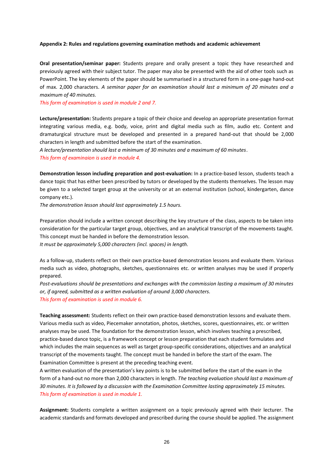#### <span id="page-25-0"></span>**Appendix 2: Rules and regulations governing examination methods and academic achievement**

**Oral presentation/seminar paper:** Students prepare and orally present a topic they have researched and previously agreed with their subject tutor. The paper may also be presented with the aid of other tools such as PowerPoint. The key elements of the paper should be summarised in a structured form in a one-page hand-out of max. 2,000 characters. *A seminar paper for an examination should last a minimum of 20 minutes and a maximum of 40 minutes.* 

*This form of examination is used in module 2 and 7.*

**Lecture/presentation:** Students prepare a topic of their choice and develop an appropriate presentation format integrating various media, e.g. body, voice, print and digital media such as film, audio etc. Content and dramaturgical structure must be developed and presented in a prepared hand-out that should be 2,000 characters in length and submitted before the start of the examination.

*A lecture/presentation should last a minimum of 30 minutes and a maximum of 60 minutes*. *This form of examinaion is used in module 4.*

**Demonstration lesson including preparation and post-evaluation:** In a practice-based lesson, students teach a dance topic that has either been prescribed by tutors or developed by the students themselves. The lesson may be given to a selected target group at the university or at an external institution (school, kindergarten, dance company etc.).

*The demonstration lesson should last approximately 1.5 hours.*

Preparation should include a written concept describing the key structure of the class, aspects to be taken into consideration for the particular target group, objectives, and an analytical transcript of the movements taught. This concept must be handed in before the demonstration lesson.

*It must be approximately 5,000 characters (incl. spaces) in length.*

As a follow-up, students reflect on their own practice-based demonstration lessons and evaluate them. Various media such as video, photographs, sketches, questionnaires etc. or written analyses may be used if properly prepared.

*Post-evaluations should be presentations and exchanges with the commission lasting a maximum of 30 minutes or, if agreed, submitted as a written evaluation of around 3,000 characters. This form of examination is used in module 6.* 

**Teaching assessment:** Students reflect on their own practice-based demonstration lessons and evaluate them. Various media such as video, Piecemaker annotation, photos, sketches, scores, questionnaires, etc. or written analyses may be used. The foundation for the demonstration lesson, which involves teaching a prescribed, practice-based dance topic, is a framework concept or lesson preparation that each student formulates and which includes the main sequences as well as target group-specific considerations, objectives and an analytical transcript of the movements taught. The concept must be handed in before the start of the exam. The Examination Committee is present at the preceding teaching event.

A written evaluation of the presentation's key points is to be submitted before the start of the exam in the form of a hand-out no more than 2,000 characters in length. *The teaching evaluation should last a maximum of 30 minutes. It is followed by a discussion with the Examination Committee lasting approximately 15 minutes. This form of examination is used in module 1.*

**Assignment:** Students complete a written assignment on a topic previously agreed with their lecturer. The academic standards and formats developed and prescribed during the course should be applied. The assignment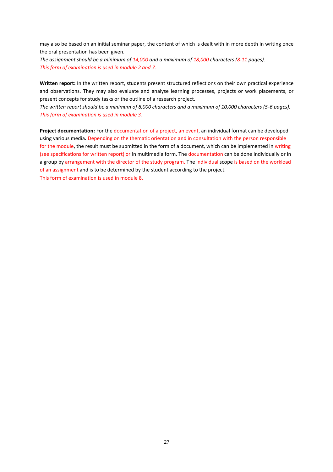may also be based on an initial seminar paper, the content of which is dealt with in more depth in writing once the oral presentation has been given.

*The assignment should be a minimum of 14,000 and a maximum of 18,000 characters (8-11 pages). This form of examination is used in module 2 and 7.* 

**Written report:** In the written report, students present structured reflections on their own practical experience and observations. They may also evaluate and analyse learning processes, projects or work placements, or present concepts for study tasks or the outline of a research project.

*The written report should be a minimum of 8,000 characters and a maximum of 10,000 characters (5-6 pages). This form of examination is used in module 3.*

**Project documentation:** For the documentation of a project, an event, an individual format can be developed using various media**.** Depending on the thematic orientation and in consultation with the person responsible for the module, the result must be submitted in the form of a document, which can be implemented in writing (see specifications for written report) or in multimedia form. The documentation can be done individually or in a group by arrangement with the director of the study program. The individual scope is based on the workload of an assignment and is to be determined by the student according to the project. This form of examination is used in module 8.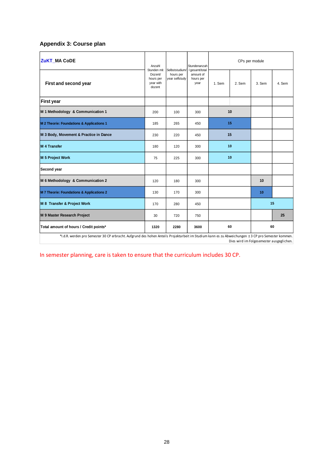# <span id="page-27-0"></span>**Appendix 3: Course plan**

| <b>ZuKT MA CoDE</b>                                                                                                                                 | Anzahl                                                     |                                               | Stundenanzah                                     |        | CPs per module |        |        |
|-----------------------------------------------------------------------------------------------------------------------------------------------------|------------------------------------------------------------|-----------------------------------------------|--------------------------------------------------|--------|----------------|--------|--------|
| First and second year                                                                                                                               | Stunden mit<br>Dozent/<br>hours per<br>year with<br>dozent | Selbststudium/<br>hours per<br>year selfstudy | I gesamt/total<br>amount of<br>hours per<br>year | 1. Sem | 2. Sem         | 3. Sem | 4. Sem |
| <b>First year</b>                                                                                                                                   |                                                            |                                               |                                                  |        |                |        |        |
| M 1 Methodology & Communication 1                                                                                                                   | 200                                                        | 100                                           | 300                                              |        | 10             |        |        |
| M 2 Theorie: Foundations & Applications 1                                                                                                           | 185                                                        | 265                                           | 450                                              | 15     |                |        |        |
| M 3 Body, Movement & Practice in Dance                                                                                                              | 230                                                        | 220                                           | 450                                              | 15     |                |        |        |
| <b>M 4 Transfer</b>                                                                                                                                 | 180                                                        | 120                                           | 300                                              | 10     |                |        |        |
| <b>M 5 Project Work</b>                                                                                                                             | 75                                                         | 225                                           | 300                                              |        | 10             |        |        |
| Second year                                                                                                                                         |                                                            |                                               |                                                  |        |                |        |        |
| M 6 Methodology & Communication 2                                                                                                                   | 120                                                        | 180                                           | 300                                              |        |                | 10     |        |
| M 7 Theorie: Foundations & Applications 2                                                                                                           | 130                                                        | 170                                           | 300                                              |        |                | 10     |        |
| M 8 Transfer & Project Work                                                                                                                         | 170                                                        | 280                                           | 450                                              |        |                |        | 15     |
| M 9 Master Research Project                                                                                                                         | 30                                                         | 720                                           | 750                                              |        |                |        | 25     |
| Total amount of hours / Credit points*                                                                                                              | 1320                                                       | 2280                                          | 3600                                             |        | 60             |        | 60     |
| *I.d.R. werden pro Semester 30 CP erbracht. Aufgrund des hohen Anteils Projektarbeit im Studium kann es zu Abweichungen ± 3 CP pro Semester kommen. |                                                            |                                               |                                                  |        |                |        |        |

Dies wird im Folgesemester ausgeglichen.

In semester planning, care is taken to ensure that the curriculum includes 30 CP.